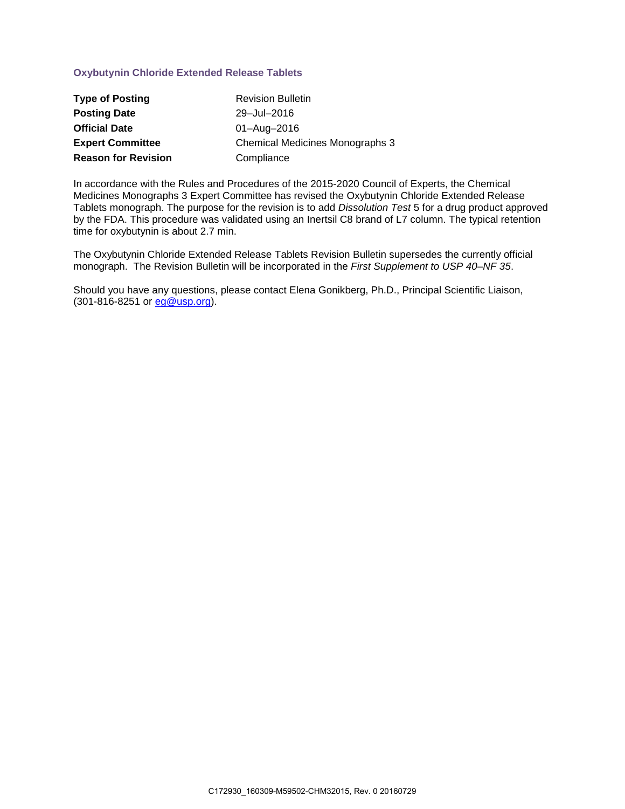# **Oxybutynin Chloride Extended Release Tablets**

| <b>Type of Posting</b>     | <b>Revision Bulletin</b>               |
|----------------------------|----------------------------------------|
| <b>Posting Date</b>        | 29-Jul-2016                            |
| <b>Official Date</b>       | 01-Aug-2016                            |
| <b>Expert Committee</b>    | <b>Chemical Medicines Monographs 3</b> |
| <b>Reason for Revision</b> | Compliance                             |

In accordance with the Rules and Procedures of the 2015-2020 Council of Experts, the Chemical Medicines Monographs 3 Expert Committee has revised the Oxybutynin Chloride Extended Release Tablets monograph. The purpose for the revision is to add *Dissolution Test* 5 for a drug product approved by the FDA. This procedure was validated using an Inertsil C8 brand of L7 column. The typical retention time for oxybutynin is about 2.7 min.

The Oxybutynin Chloride Extended Release Tablets Revision Bulletin supersedes the currently official monograph. The Revision Bulletin will be incorporated in the *First Supplement to USP 40–NF 35*.

Should you have any questions, please contact Elena Gonikberg, Ph.D., Principal Scientific Liaison,  $(301 - 816 - 8251)$  or  $eg@usp.org$ .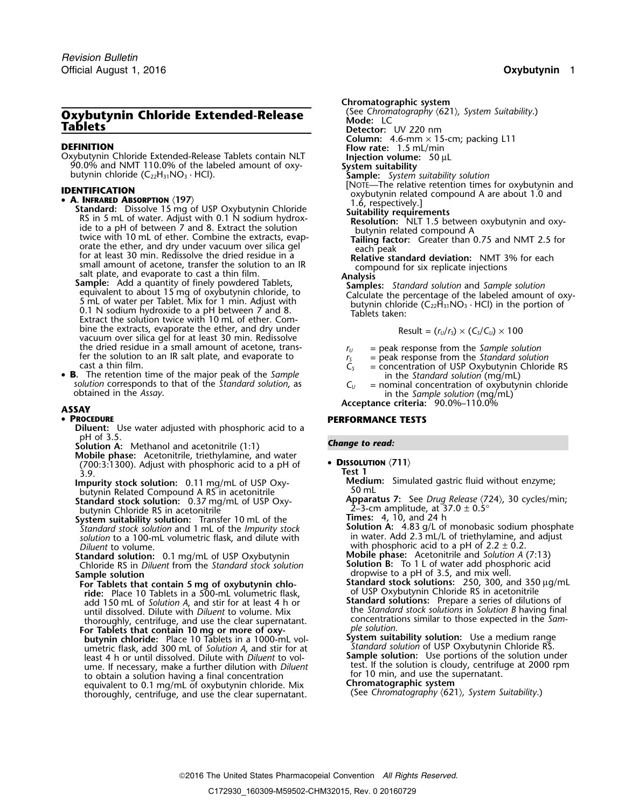# **Chromatography <b>Chloride Extended-Release** (See Chromatography <sup>(c</sup>)<br> **Tablets C Tablets Detector:** UV 220 nm

**Column:** 4.6-mm × 15-cm; packing L11<br> **DEFINITION**<br>
Column: 4.6-mm × 15-cm; packing L11<br>
Oxybutynin Chloride Extended-Release Tablets contain NLT<br> **Injection volume:** 50 µL Oxybutynin Chloride Extended-Release Tablets contain NLT **Injection volume:**<sup>50</sup> <sup>µ</sup><sup>L</sup> 90.0% and NMT 110.0% of the labeled amount of oxy- **System suitability** butynin chloride (C22H31NO<sup>3</sup> · HCl). **Sample:** *System suitability solution*

- 
- **IDENTIFICATION**<br>
 **A. INFRARED ABSORPTION** (197)<br>  **A. INFRARED ABSORPTION** (197)<br>
Standard: Dissolve 15 mg of USP Oxybutynin Chloride<br>
Suitability requirements • **A. INFRARED ABSORPTION** (197)<br> **Standard:** Dissolve 15 mg of USP Oxybutynin Chloride<br>
RS in 5 mL of water. Adjust with 0.1 N sodium hydrox-<br>
ide to a pH of between 7 and 8. Extract the solution<br>
twice with 10 mL of eth

bine the extracts, evaporate the ether, and dry under vacuum over silica gel for at least 30 min. Redissolve the dried residue in a small amount of acetone, trans-<br>fer the solution to an IR salt plate, and evaporate to  $r_s$  = peak response from the Standard solution<br>cast a thin film.  $r_s$  = concentration of USP Oxybutynin Chlori

• B. The retention time of the major peak of the Sample **B.** The retention time of the major peak of the Sample<br>solution corresponds to that of the Standard solution, as  $C_U$  = nominal concentration of oxybutynin chloride<br>obtained in the Assay.<br>in the Sample solution (mg/mL)

## • PROCEDURE

- **Diluent:** Use water adjusted with phosphoric acid to a pH of 3.5.
- **Solution A:** Methanol and acetonitrile (1:1) **Change to read:**
- **Mobile phase:** Acetonitrile, triethylamine, and water **<sup>D</sup>ISSOLUTION** 〈**711**〉 (700:3:1300). Adjust with phosphoric acid to a pH of 3.9. **Test 1**
- butynin Related Compound A RS in acetonitrile<br>**Standard stock solution:** 0.37 mg/mL of USP Oxy-
- butynin Chloride RS in acetonitrile<br> **System suitability solution:** Transfer 10 mL of the **Times:** 4, 10, and 24 h<br>
Standard stock solution and 1 mL of the *Impurity stock* **Solution A:** 4.83 g/L of monobasic sodium phosph **System suitability solution:** Transfer 10 mL of the
- *Standard stock solution* and 1 mL of the *Impurity stock* **Solution A:** 4.83 g/L of monobasic sodium phosphate solution to a 100-mL volumetric flask, and dilute with **Solution** in water. Add 2.3 mL/L of triethylamine, and solution to a 100-mL volumetric flask, and dilute with *Diluent* to volume.<br> *Diluent* to volume.<br> **Diluent** to volume. 0.1 mg/mL of USP Oxybutynin **Mobile phase:** Acetonitrile and Solution A (7:13)
- **Standard solution:** 0.1 mg/mL of USP Oxybutynin **Mobile phase:** Acetonitrile and *Solution A* (7:13) **Choride RS in Diluent from the Standard stock solution Solution B:** To 1 L of water add phosphoric acid Chloride RS in *Diluent* from the *Standard stock* solution
- **Sample solution**<br> **Sample solution**<br> **Standard stock solutions:** 250, 300, and mix well.<br> **Standard stock solutions:** 250, 300, and **no ride:** Place 10 Tablets in a 500-mL volumetric flask,<br>add 150 mL of Solution A, and stir for at least 4 h or **Standard solutions:** Prepare a series of dilutions of add 150 mL of *Solution A*, and stir for at least 4 h or **Standard solutions:** Prepare a series of dilutions of <br>until dissolved Dilute with Dilu*ent* to volume Mix the *Standard stock solutions* in *Solution B* having fin until dissolved. Dilute with *Diluent* to volume. Mix
- **For Tablets that contain 10 mg or more of oxy-**<br>**butynin chloride:** Place 10 Tablets in a 1000-mL vol-**System suitability solution:** Use a medium range **butynin chloride:** Place 10 Tablets in a 1000-mL vol-<br>umetric flask, add 300 mL of Solution A, and stir for at Standard solution of USP Oxybutynin Chloride RS least 4 h or until dissolved. Dilute with *Diluent* to vol-<br>**Sample solution:** Use portions of the solution under ume. If necessary, make a further dilution with *Diluent* test. If the solution is cloudy, centrifuge at 2000 rpm<br>to obtain a solution having a final concentration **the set of the solution is cloudy**, and use the supernata to obtain a solution having a final concentration the supernation of the sequivalent to 0.1 ma/mL of oxybutynin chloride. Mix **Chromatographic system** equivalent to 0.1 mg/mL of oxybutynin chloride. Mix **Chromatographic system**<br>thoroughly centrifuge and use the clear supernatant (See Chromatography (621), System Suitability.) (See *Chromatography* 〈621〉*, System Suitability*.) thoroughly, centrifuge, and use the clear supernatant.

**Chromatographic system**<br>(See Chromatography  $(621)$ , System Suitability.)

- 
- 

- 
- 
- 

$$
Result = (r_U/r_S) \times (C_S/C_U) \times 100
$$

- 
- 
- = concentration of USP Oxybutynin Chloride RS
- 

**Acceptance criteria:** 90.0%–110.0% **ASSAY**

## **PERFORMANCE TESTS**

## • DISSOLUTION <711>

**Medium: Medium:** S.9.<br> **Medium:** Simulated gastric fluid without enzyme;<br> **Impurity stock solution:** 0.11 mg/mL of USP Oxy-<br>
50 mL<br>
50 mL

**Apparatus 7:** See *Drug Release*  $\langle 724 \rangle$ , 30 cycles/min; 2–3-cm amplitude, at 37.0 ± 0.5°

- 
- 

**For Table 1 For Table 1 Contained Stock solutions:** 250, 300, and 350 µg/mL of USP Oxybutynin Chloride RS in acetonitrile

thoroughly, centrifuge, and use the clear supernatant. The concentrations similar to those expected in the *Sam-*<br>
For Tablets that contain 10 mg or more of oxy-<br>
solution.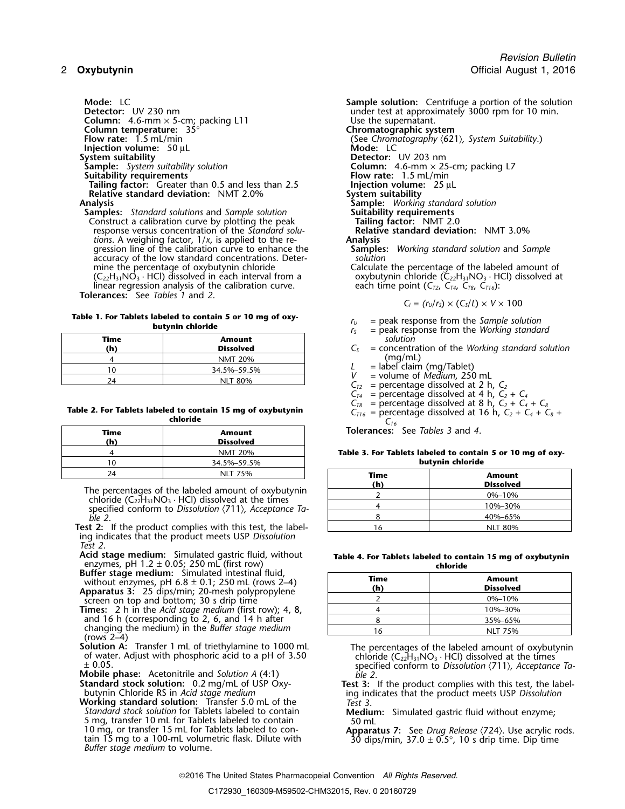*Revision Bulletin* 2 **Oxybutynin** Communication Communication Communication Communication Communication Communication Communication Communication Communication Communication Communication Communication Communication Communication Communicati

**Column:** 4.6-mm × 5-cm; packing L11 Use the supernatant.<br> **Column temperature:** 35° **Column temperature:** 35°<br>**Flow rate:** 1.5 mL/min **Injection volume:** 50 µL<br>**System suitability System suitability**<br> **Sample:** System suitability solution<br> **Sample:** System suitability solution<br> **Sample:** Assembly solution **Suitability requirements**<br> **Flow rate:** 1.5 mL/min<br> **Failing factor:** Greater than 0.5 and less than 2.5 **Figure 1.5 million injection volume:** 25 µL **Tailing factor:** Greater than 0.5 and less than 2.5 **Injection volume**<br>**Relative standard deviation:** NMT 2.0% **System suitability Relative standard deviation:** NMT 2.0%<br>**Analysis** 

**Samples:** *Standard solutions* and *Sample solution* **Suitability requirements Construct a calibration curve by plotting the peak Tailing factor:** NMT 2.0 Construct a calibration curve by plotting the peak **Tailing factor:** NMT 2.0<br>
response versus concentration of the Standard solu-<br> **Relative standard deviation:** NMT 3.0% response versus concentration of the *Standard solu-* **Relation is a Relation in the Standard Solu-**<br> **Relation:** A weighing factor, 1/x, is applied to the re-<br> **Analysis** *tions*. A weighing factor, 1/*<sup>x</sup>*, is applied to the re- **Analysis** gression line of the calibration curve to enhance the **Samples**<br>*Samples accuracy* of the low standard concentrations. Deteraccuracy of the low standard concentrations. Deter-<br>mine the percentage of oxybutynin chloride mine the percentage of oxybutynin chloride  $\overline{C_{22}H_{31}NO_3}$ . Calculate the percentage of the labeled amount of  $\overline{C_{22}H_{31}NO_3}$ . HCl) dissolved at linear regression analysis of the calibration curve. **Tolerances:** See *Tables 1* and *2*.

**Table 1. For Tablets labeled to contain 5 or 10 mg of oxy-**<br>**butynin chloride butynin chloride** *r***<sub>S</sub>** = peak response from the *Working standard* 

| Time<br>(h) | <b>Amount</b><br><b>Dissolved</b> | solution<br>$=$ concentr            |
|-------------|-----------------------------------|-------------------------------------|
|             | <b>NMT 20%</b>                    | (mg/ml                              |
| ۱n          | 34.5%-59.5%                       | $=$ label clai                      |
| 74          | <b>NLT 80%</b>                    | $=$ volume $\alpha$<br>$-$ porconta |

## Table 2. For Tablets labeled to contain 15 mg of oxybutynin<br>
chloride chloride chloride chloride chloride chloride chloride chloride chloride chloride chloride chloride c **chloride** *<sup>C</sup><sup>16</sup>*

| Time<br>(h) | Amount<br><b>Dissolved</b> |  |
|-------------|----------------------------|--|
|             | <b>NMT 20%</b>             |  |
|             | 34.5%-59.5%                |  |
| 74          | <b>NLT 75%</b>             |  |

The percentages of the labeled amount of oxybutynin chloride  $(C_{22}H_{31}NO_3 \cdot HCl)$  dissolved at the times specified conform to *Dissolution*  $\langle 711 \rangle$ *, Acceptance Ta- ble 2*. *ble 2*. 8 40%–65%

Test 2: If the product complies with this test, the labeling indicates that the product meets USP *Dissolution Test 2*.

**Acid stage medium:** Simulated gastric fluid, without enzymes, pH 1.2 ± 0.05; 250 mL (first row) **chloride**

- **Buffer stage medium:** Simulated intestinal fluid, without enzymes, pH 6.8 ± 0.1; 250 mL (rows 2–4) **Apparatus 3:** 25 dips/min; 20-mesh polypropylene
- screen on top and bottom; 30 s drip time **Times:** 2 h in the *Acid stage medium* (first row); 4, 8,
- and 16 h (corresponding to 2, 6, and 14 h after changing the medium) in the *Buffer stage medium*<br>(rows 2–4)<br>**Solution A:** Transfer 1 mL of triethylamine to 1000 mL
- 
- **Example conformal conformal conform to** *Die 2***.<br>Standard stock solution: 0.2 mg/mL of USP Oxy-<br>Test 3:**
- **Working standard solution:** Transfer 5.0 mL of the *Standard stock solution* for Tablets labeled to contain *Standard stock solution* for Tablets labeled to contain **Medium:** Simulated gastric fluid without enzyme;<br>5 mg, transfer 10 mL for Tablets labeled to contain 50 mL<br>10 mg, or transfer 15 mL for Tablets labeled to con-**Appa** 10 mg, or transfer 15 mL for Tablets labeled to con-<br>tain 15 mg to a 100-mL volumetric flask. Dilute with 30 dips/min,  $37.0 \pm 0.5^{\circ}$ , 10 s drip time. Dip time<br>Buffer stage medium to volume.

**Mode:** LC<br> **Detector:** UV 230 nm<br> **Detector:** UV 230 nm<br> **Sample solution:** Centrifuge a portion of the solution<br>
under test at approximately 3000 rpm for 10 min. under test at approximately 3000 rpm for 10 min.<br>Use the supernatant. **Flow rate:** 1.5 mL/min (See *Chromatography* 〈621〉*, System Suitability*.) **Solumn:** 4.6-mm × 25-cm; packing L7<br>**Flow rate:** 1.5 mL/min **Analysis Sample:** *Working standard solution* oxybutynin chloride ( $\overline{C}_{22}H_{31}NO_3 \cdot HCl$ ) dissolved at each time point (C<sub>72</sub>, C<sub>74</sub>, C<sub>78</sub>, C<sub>716</sub>):

 $C_i = (r_U/r_S) \times (C_S/L) \times V \times 100$ 

- 
- 
- **(h) Dissolved** *C<sup>S</sup>* = concentration of the *Working standard solution*
- $L =$  label claim (mg/Tablet)
- 
- $V =$  volume of *Medium*, 250 mL<br> $C_{T2} =$  percentage dissolved at 2 h,  $C_2$
- 
- $C_{74}$  = percentage dissolved at 4 h,  $C_2 + C_4$ <br> $C_{78}$  = percentage dissolved at 8 h,  $C_2 + C_4 + C_8$
- 
- 

**Tolerances:** See *Tables 3* and 4.

Table 3. For Tablets labeled to contain 5 or 10 mg of oxy-10 34.5%–59.5% **butynin chloride**

| 24                                                                                                               | NLT 75%                                            | Time    | Amount           |
|------------------------------------------------------------------------------------------------------------------|----------------------------------------------------|---------|------------------|
| ercentages of the labeled amount of oxybutynin                                                                   |                                                    | (h)     | <b>Dissolved</b> |
|                                                                                                                  |                                                    |         | $0\% - 10\%$     |
| ride $(C_{22}H_{31}NO_3 \cdot HCl)$ dissolved at the times<br>ified conform to Dissolution (711), Acceptance Ta- |                                                    | 10%-30% |                  |
|                                                                                                                  |                                                    |         | 40%-65%          |
|                                                                                                                  | If the product complies with this test, the label- |         | <b>NLT 80%</b>   |

| Table 4. For Tablets labeled to contain 15 mg of oxybutynin |
|-------------------------------------------------------------|
| chloride                                                    |

| Time<br>(h) | <b>Amount</b><br><b>Dissolved</b> |
|-------------|-----------------------------------|
|             | 0%-10%                            |
|             | 10%-30%                           |
|             | 35%-65%                           |
|             | <b>NLT 75%</b>                    |

**Solution A:** Transfer 1 mL of triethylamine to 1000 mL The percentages of the labeled amount of oxybutynin of water. Adjust with phosphoric acid to a pH of 3.50 chloride (C<sub>22</sub>H<sub>31</sub>NO<sub>3</sub> · HCl) dissolved at the times spe

**Standard stock solution:** 0.2 mg/mL of USP Oxy-<br>butynin Chloride RS in *Acid stage medium*<br>**Working standard solution:** Transfer 5.0 mL of the Test 3.<br>**Norking standard solution:** Transfer 5.0 mL of the Test 3.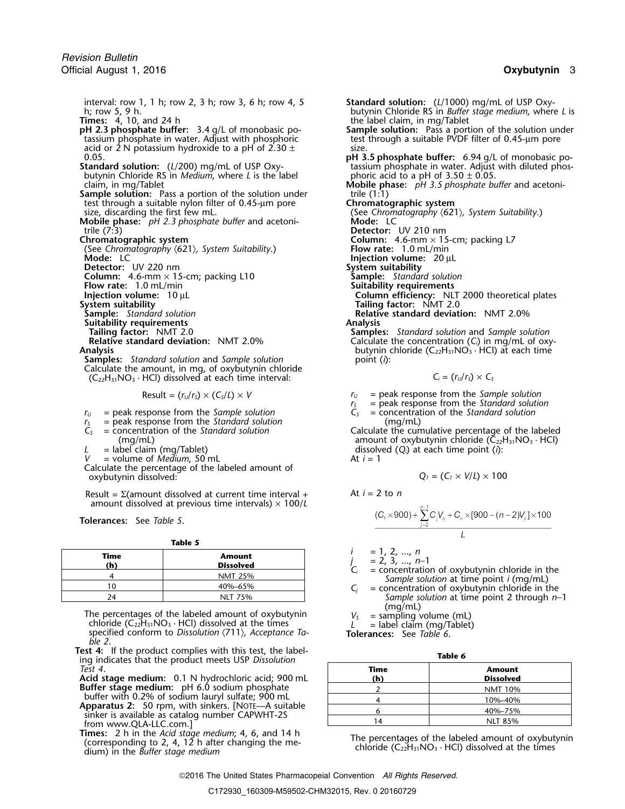interval: row 1, 1 h; row 2, 3 h; row 3, 6 h; row 4, 5 **Standard solution:** (*L*/1000) mg/mL of USP Oxy-

the 2.3 phosphate buffer: 3.4 g/L of monobasic potassium phosphate in water. Adjust with phosphoric acid or 2 N potassium hydroxide to a pH of 2.30  $\pm$  size.<br>**pH 3** 

- butynin Chloride RS in *Medium*, where *L* is the label phoric acid to a pH of 3.50 ± 0.05.
- **Sample solution:** Pass a portion of the solution under **trile (1:1)** test through a suitable nylon filter of 0.45-µm pore **Chromatographic system**
- **Mobile phase:**  $pH$  2.3 *phosphate buffer* and acetonitrile (7:3) trile (7:3) **Detector:** UV 210 nm

- (See Chromatography  $\langle 621 \rangle$ , System Suitability.) **Mode:** LC
- **Detector:** UV 220 nm
- 
- **Flow rate:** 1.0 mL/min<br>**Injection volume:** 10 µL

- **Sample:** *Standard solution*<br>**Suitability requirements**<br>**Tailing factor:** NMT 2.0
- 
- 

**Samples:** *Standard solution* and *Sample solution* Calculate the amount, in mg, of oxybutynin chloride  $(C_{22}H_{31}NO_3 \cdot HCl)$  dissolved at each time interval:

Result = 
$$
(r_U/r_S) \times (C_S/L) \times V
$$

- $r_U$  = peak response from the *Sample solution*  $C_S$
- $r_s$  = peak response from the *Standard solution*  $C_s$  = concentration of the *Standard solution* (mg/mL)
- 
- 

 $=$  volume of *Medium*, 50 mL

Calculate the percentage of the labeled amount of  $\alpha$ *xybutynin dissolved:* 

Result = Σ(amount dissolved at current time interval + At *<sup>i</sup>* = 2 to *<sup>n</sup>* amount dissolved at previous time intervals)  $\times$  100/*L* 

**Tolerances:** See *Table 5*.

**Table 5**

| Time | <b>Amount</b><br><b>Dissolved</b> | $= 1, 2, , n$<br>$= 2, 3, , n-1$<br>$=$ concentration of oxybutynin chloride in the |
|------|-----------------------------------|-------------------------------------------------------------------------------------|
|      | <b>NMT 25%</b>                    | Sample solution at time point <i>i</i> (mg/mL)                                      |
|      | 40%-65%                           | $=$ concentration of oxybutynin chloride in the                                     |
|      | <b>NLT 75%</b>                    | Sample solution at time point 2 through n-                                          |

The percentages of the labeled amount of oxybutynin  $V_s$  = sampling volume (mL) chloride (C<sub>22</sub>H<sub>31</sub>NO<sub>3</sub> · HCl) dissolved at the times *L* = label claim (mg/Tablet) specified conform to *Dissolution* (711), *Acceptance T* specified conform to *Dissolution*  $\langle 711 \rangle$ *, Acceptance Table 2*.

**Test 4:** If the product complies with this test, the label-<br>
ing indicates that the product meets USP *Dissolution*<br>
Test 4. *Test 4*. **Time Amount**

**Acid stage medium:** 0.1 N hydrochloric acid; 900 mL **Buffer stage medium:** pH 6.0 sodium phosphate

buffer with 0.2% of sodium lauryl sulfate; 900 mL<br>**Apparatus 2:** 50 rpm, with sinkers. [NOTE—A suitable sinker is available as catalog number CAPWHT-2S from www.QLA-LLC.com.]

**Times:** 2 h in the Acid stage medium; 4, 6, and 14 h<br>(corresponding to 2, 4, 12 h after changing the me-<br>dium) in the *Buffer stage medium*<br>dium) in the *Buffer stage medium* 

h; row 5, 9 h. butynin Chloride RS in *Buffer stage medium*, where *L* is **Times:** 4, 10, and 24 h the label claim, in mg/Tablet **Sample solution:** Pass a portion of the solution under test through a suitable PVDF filter of 0.45-µm pore **pH 3.5 phosphate buffer:** 6.94 g/L of monobasic po-<br>tassium phosphate in water. Adjust with diluted phos-**Standard solution:** (*L*/200) mg/mL of USP Oxy- tassium phosphate in water. Adjust with diluted phosclaim, in mg/Tablet **Mobile phase:** *pH 3.5 phosphate buffer* and acetonitest through a suitable nylon filter of 0.45-µm pore<br>size, discarding the first few mL.<br>**Altability** (See *Chromatography*  $(621)$ *, System Suitability*.)<br>**Altability** (See *Chromatography*  $(621)$ *, System Suitability*.) **Column:** 4.6-mm × 15-cm; packing L7<br>**Flow rate:** 1.0 mL/min **Injection volume:** 20 µL<br>**System suitability**<br>**Sample:** Standard solution **Column:** 4.6-mm × 15-cm; packing L10 **Sample:** *Standard solutic* Flow rate: 1.0 mL/min **Sultime: Suitability requirements Injection volume:** 10 µL **Column efficiency:** NLT 2000 theoretical plates **System suitability Tailing factor:** NMT 2.0 **Relative standard deviation:** NMT 2.0%<br>**Analysis** 

**Tailing factor:** NMT 2.0 **Samples:** *Standard solution* and *Sample solution*<br>**Relative standard deviation:** NMT 2.0% **Calculate the concentration** (C<sub>i</sub>) in mg/mL of oxy **Relative standard deviation:** NMT 2.0% Calculate the concentration (*C<sub>i</sub>*) in mg/mL of oxy-<br>butynin chloride (C<sub>22</sub>H<sub>31</sub>NO<sub>3</sub> · HCl) at each time butynin chloride (C<sub>22</sub>H<sub>31</sub>NO<sub>3</sub> · HCl) at each time point (*i*):

$$
C_i = (r_U/r_S) \times C_S
$$

 $r_U$  = peak response from the *Sample solution* 

 $r_s$  = peak response from the *Standard solution*<br> $C_s$  = concentration of the *Standard solution* 

*C<sup>S</sup>* = concentration of the *Standard solution* Calculate the cumulative percentage of the labeled (mg/mL) amount of oxybutynin chloride (C $_{22}$ H $_{31}$ NO $_{3}$   $\cdot$  HCl)  $L =$  label claim (mg/Tablet) dissolved  $(Q_i)$  at each time point (*i*): dissolved  $(Q_i)$  at each time point (*i*):

$$
Q_1 = (C_1 \times V/L) \times 100
$$

$$
\frac{(C_7 \times 900) + \sum_{j=2}^{n-1} C_j V_s + C_n \times [900 - (n-2)V_s] \times 100}{I}
$$

$$
= 1, 2, ..., n
$$

- *Sample solution* at time point 2 through *n*−1 (mg/mL)
- 

|  | ۰, |  |
|--|----|--|

| Time<br>(h)    | <b>Amount</b><br><b>Dissolved</b> |
|----------------|-----------------------------------|
|                | <b>NMT 10%</b>                    |
|                | 10%-40%                           |
|                | 40%-75%                           |
| $\overline{A}$ | <b>NLT 85%</b>                    |

2016 The United States Pharmacopeial Convention *All Rights Reserved.*